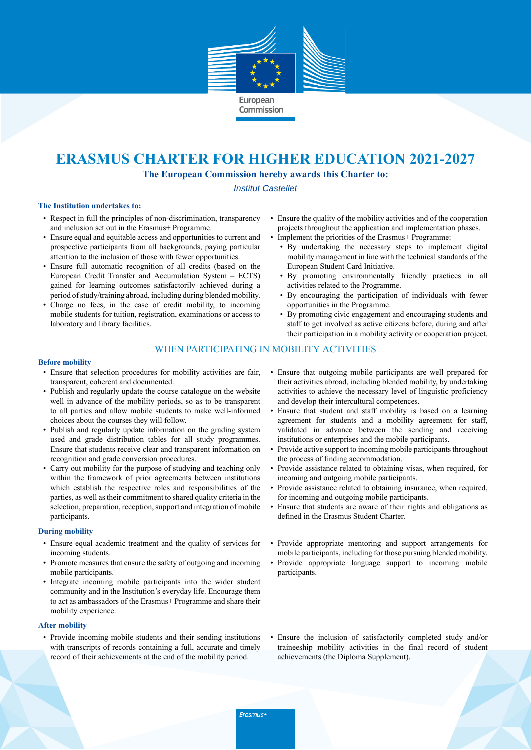

# **ERASMUS CHARTER FOR HIGHER EDUCATION 2021-2027**

**The European Commission hereby awards this Charter to:**

Institut Castellet

### **The Institution undertakes to:**

- Respect in full the principles of non-discrimination, transparency and inclusion set out in the Erasmus+ Programme.
- Ensure equal and equitable access and opportunities to current and prospective participants from all backgrounds, paying particular attention to the inclusion of those with fewer opportunities.
- Ensure full automatic recognition of all credits (based on the European Credit Transfer and Accumulation System – ECTS) gained for learning outcomes satisfactorily achieved during a period ofstudy/training abroad, including during blended mobility.
- Charge no fees, in the case of credit mobility, to incoming mobile students for tuition, registration, examinations or access to laboratory and library facilities.
- Ensure the quality of the mobility activities and of the cooperation projects throughout the application and implementation phases.
- Implement the priorities of the Erasmus+ Programme:
	- By undertaking the necessary steps to implement digital mobility management in line with the technical standards of the European Student Card Initiative.
	- By promoting environmentally friendly practices in all activities related to the Programme.
	- By encouraging the participation of individuals with fewer opportunities in the Programme.
	- By promoting civic engagement and encouraging students and staff to get involved as active citizens before, during and after their participation in a mobility activity or cooperation project.

# WHEN PARTICIPATING IN MOBILITY ACTIVITIES

#### **Before mobility**

- Ensure that selection procedures for mobility activities are fair, transparent, coherent and documented.
- Publish and regularly update the course catalogue on the website well in advance of the mobility periods, so as to be transparent to all parties and allow mobile students to make well-informed choices about the courses they will follow.
- Publish and regularly update information on the grading system used and grade distribution tables for all study programmes. Ensure that students receive clear and transparent information on recognition and grade conversion procedures.
- Carry out mobility for the purpose of studying and teaching only within the framework of prior agreements between institutions which establish the respective roles and responsibilities of the parties, as well as their commitment to shared quality criteria in the selection, preparation, reception, support and integration of mobile participants.

## **During mobility**

- Ensure equal academic treatment and the quality of services for incoming students.
- Promote measures that ensure the safety of outgoing and incoming mobile participants.
- Integrate incoming mobile participants into the wider student community and in the Institution's everyday life. Encourage them to act as ambassadors of the Erasmus+ Programme and share their mobility experience.

### **After mobility**

• Provide incoming mobile students and their sending institutions with transcripts of records containing a full, accurate and timely record of their achievements at the end of the mobility period.

- Ensure that outgoing mobile participants are well prepared for their activities abroad, including blended mobility, by undertaking activities to achieve the necessary level of linguistic proficiency and develop their intercultural competences.
- Ensure that student and staff mobility is based on a learning agreement for students and a mobility agreement for staff, validated in advance between the sending and receiving institutions or enterprises and the mobile participants.
- Provide active support to incoming mobile participants throughout the process of finding accommodation.
- Provide assistance related to obtaining visas, when required, for incoming and outgoing mobile participants.
- Provide assistance related to obtaining insurance, when required, for incoming and outgoing mobile participants.
- Ensure that students are aware of their rights and obligations as defined in the Erasmus Student Charter.
- Provide appropriate mentoring and support arrangements for mobile participants, including for those pursuing blended mobility.
- Provide appropriate language support to incoming mobile participants.
- Ensure the inclusion of satisfactorily completed study and/or traineeship mobility activities in the final record of student achievements (the Diploma Supplement).

Erasmus+